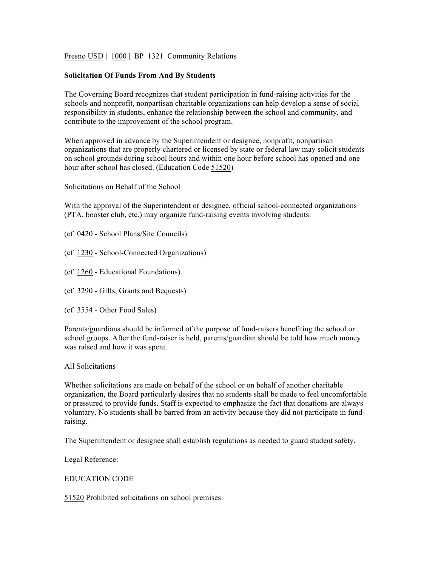Fresno USD | 1000 | BP 1321 Community Relations

## **Solicitation Of Funds From And By Students**

The Governing Board recognizes that student participation in fund-raising activities for the schools and nonprofit, nonpartisan charitable organizations can help develop a sense of social responsibility in students, enhance the relationship between the school and community, and contribute to the improvement of the school program.

When approved in advance by the Superintendent or designee, nonprofit, nonpartisan organizations that are properly chartered or licensed by state or federal law may solicit students on school grounds during school hours and within one hour before school has opened and one hour after school has closed. (Education Code 51520)

Solicitations on Behalf of the School

With the approval of the Superintendent or designee, official school-connected organizations (PTA, booster club, etc.) may organize fund-raising events involving students.

- (cf. 0420 School Plans/Site Councils)
- (cf. 1230 School-Connected Organizations)
- (cf. 1260 Educational Foundations)
- (cf. 3290 Gifts, Grants and Bequests)
- (cf. 3554 Other Food Sales)

Parents/guardians should be informed of the purpose of fund-raisers benefiting the school or school groups. After the fund-raiser is held, parents/guardian should be told how much money was raised and how it was spent.

## All Solicitations

Whether solicitations are made on behalf of the school or on behalf of another charitable organization, the Board particularly desires that no students shall be made to feel uncomfortable or pressured to provide funds. Staff is expected to emphasize the fact that donations are always voluntary. No students shall be barred from an activity because they did not participate in fundraising.

The Superintendent or designee shall establish regulations as needed to guard student safety.

Legal Reference:

## EDUCATION CODE

51520 Prohibited solicitations on school premises